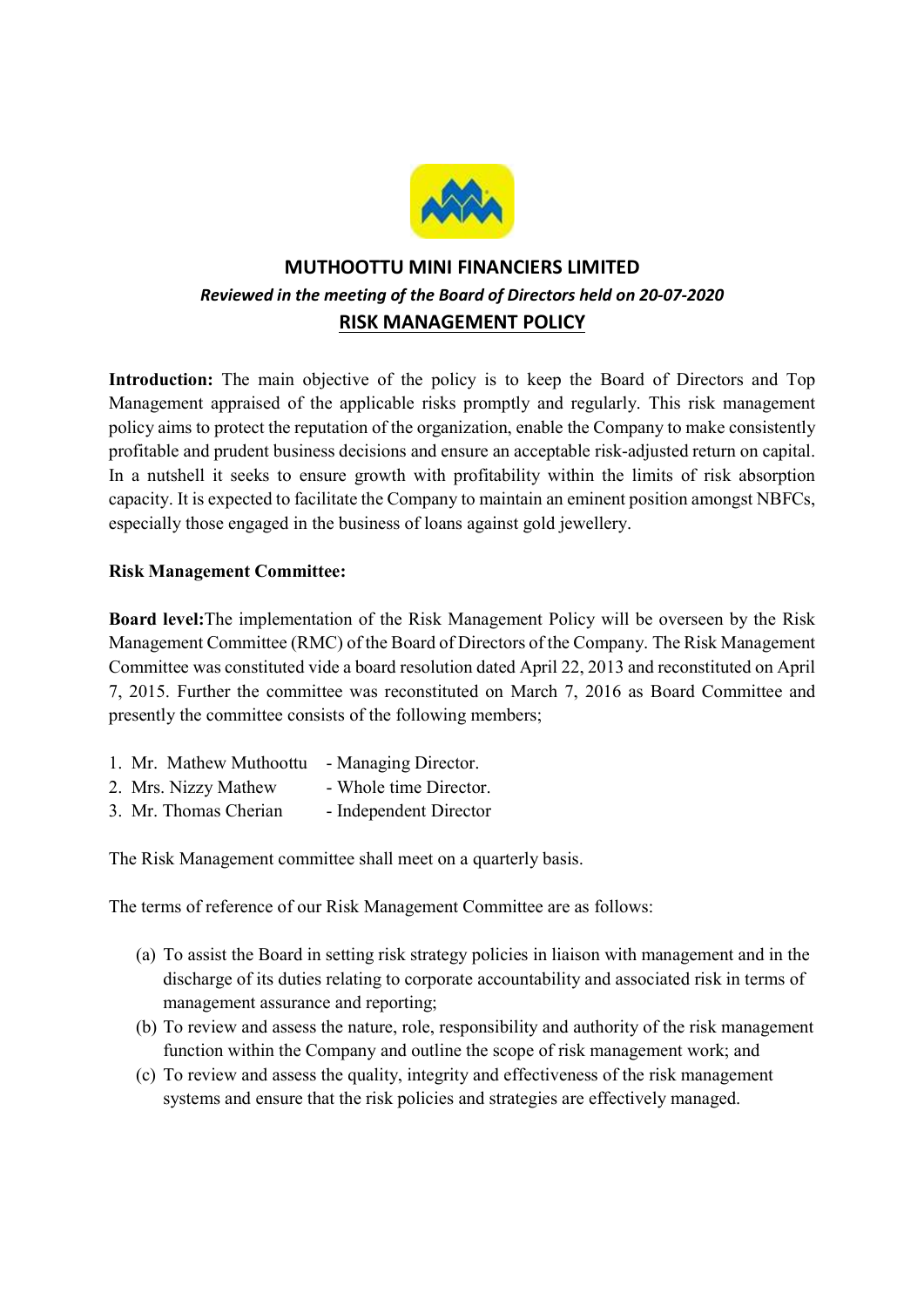

# MUTHOOTTU MINI FINANCIERS LIMITED Reviewed in the meeting of the Board of Directors held on 20-07-2020 RISK MANAGEMENT POLICY

Introduction: The main objective of the policy is to keep the Board of Directors and Top Management appraised of the applicable risks promptly and regularly. This risk management policy aims to protect the reputation of the organization, enable the Company to make consistently profitable and prudent business decisions and ensure an acceptable risk-adjusted return on capital. In a nutshell it seeks to ensure growth with profitability within the limits of risk absorption capacity. It is expected to facilitate the Company to maintain an eminent position amongst NBFCs, especially those engaged in the business of loans against gold jewellery.

# Risk Management Committee:

Board level:The implementation of the Risk Management Policy will be overseen by the Risk Management Committee (RMC) of the Board of Directors of the Company. The Risk Management Committee was constituted vide a board resolution dated April 22, 2013 and reconstituted on April 7, 2015. Further the committee was reconstituted on March 7, 2016 as Board Committee and presently the committee consists of the following members;

| 1. Mr. Mathew Muthoottu - Managing Director. |                        |
|----------------------------------------------|------------------------|
| 2. Mrs. Nizzy Mathew                         | - Whole time Director. |
| 3. Mr. Thomas Cherian                        | - Independent Director |

The Risk Management committee shall meet on a quarterly basis.

The terms of reference of our Risk Management Committee are as follows:

- (a) To assist the Board in setting risk strategy policies in liaison with management and in the discharge of its duties relating to corporate accountability and associated risk in terms of management assurance and reporting;
- (b) To review and assess the nature, role, responsibility and authority of the risk management function within the Company and outline the scope of risk management work; and
- (c) To review and assess the quality, integrity and effectiveness of the risk management systems and ensure that the risk policies and strategies are effectively managed.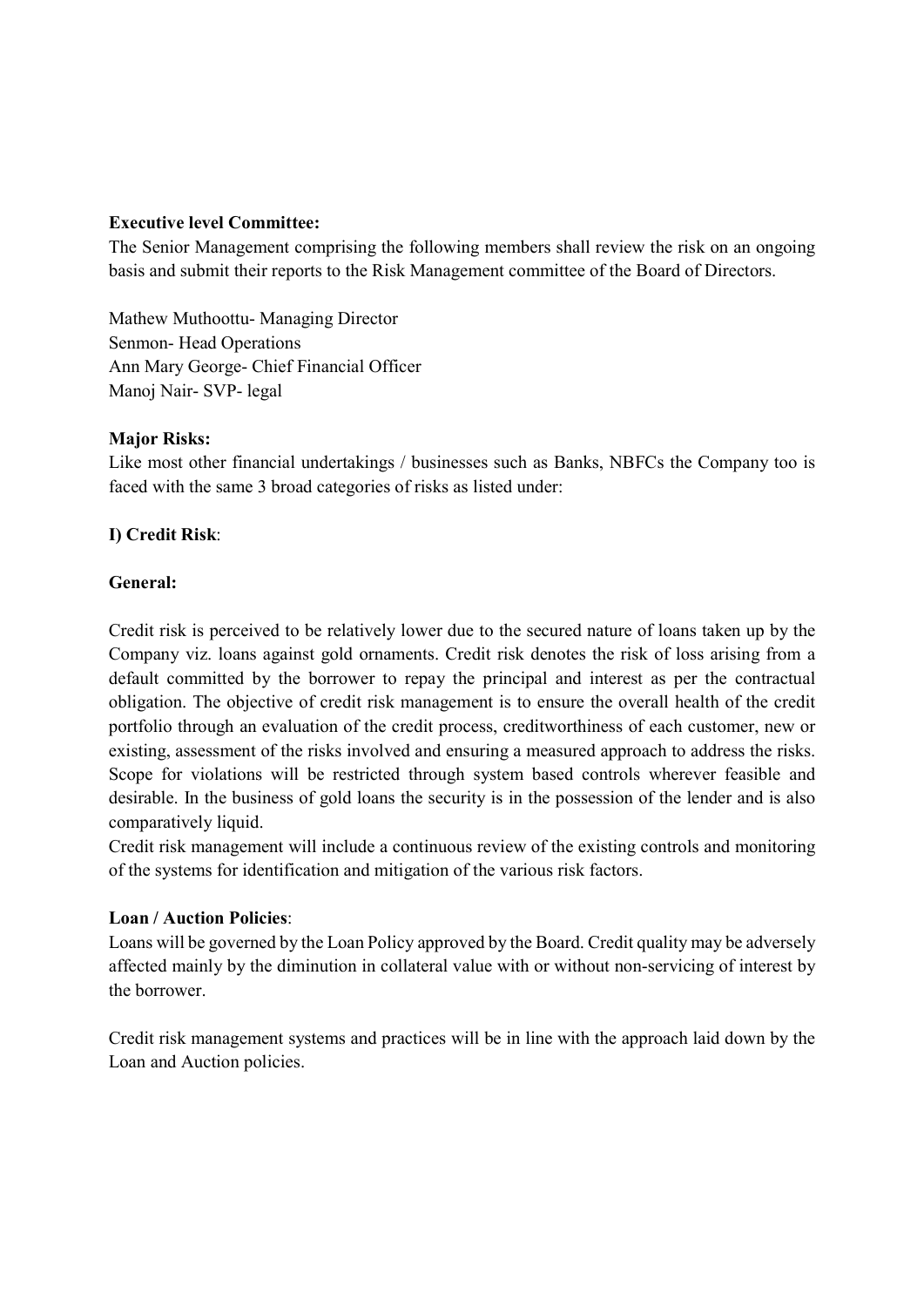## Executive level Committee:

The Senior Management comprising the following members shall review the risk on an ongoing basis and submit their reports to the Risk Management committee of the Board of Directors.

Mathew Muthoottu- Managing Director Senmon- Head Operations Ann Mary George- Chief Financial Officer Manoj Nair- SVP- legal

### **Major Risks:**

Like most other financial undertakings / businesses such as Banks, NBFCs the Company too is faced with the same 3 broad categories of risks as listed under:

# I) Credit Risk:

## General:

Credit risk is perceived to be relatively lower due to the secured nature of loans taken up by the Company viz. loans against gold ornaments. Credit risk denotes the risk of loss arising from a default committed by the borrower to repay the principal and interest as per the contractual obligation. The objective of credit risk management is to ensure the overall health of the credit portfolio through an evaluation of the credit process, creditworthiness of each customer, new or existing, assessment of the risks involved and ensuring a measured approach to address the risks. Scope for violations will be restricted through system based controls wherever feasible and desirable. In the business of gold loans the security is in the possession of the lender and is also comparatively liquid.

Credit risk management will include a continuous review of the existing controls and monitoring of the systems for identification and mitigation of the various risk factors.

### Loan / Auction Policies:

Loans will be governed by the Loan Policy approved by the Board. Credit quality may be adversely affected mainly by the diminution in collateral value with or without non-servicing of interest by the borrower.

Credit risk management systems and practices will be in line with the approach laid down by the Loan and Auction policies.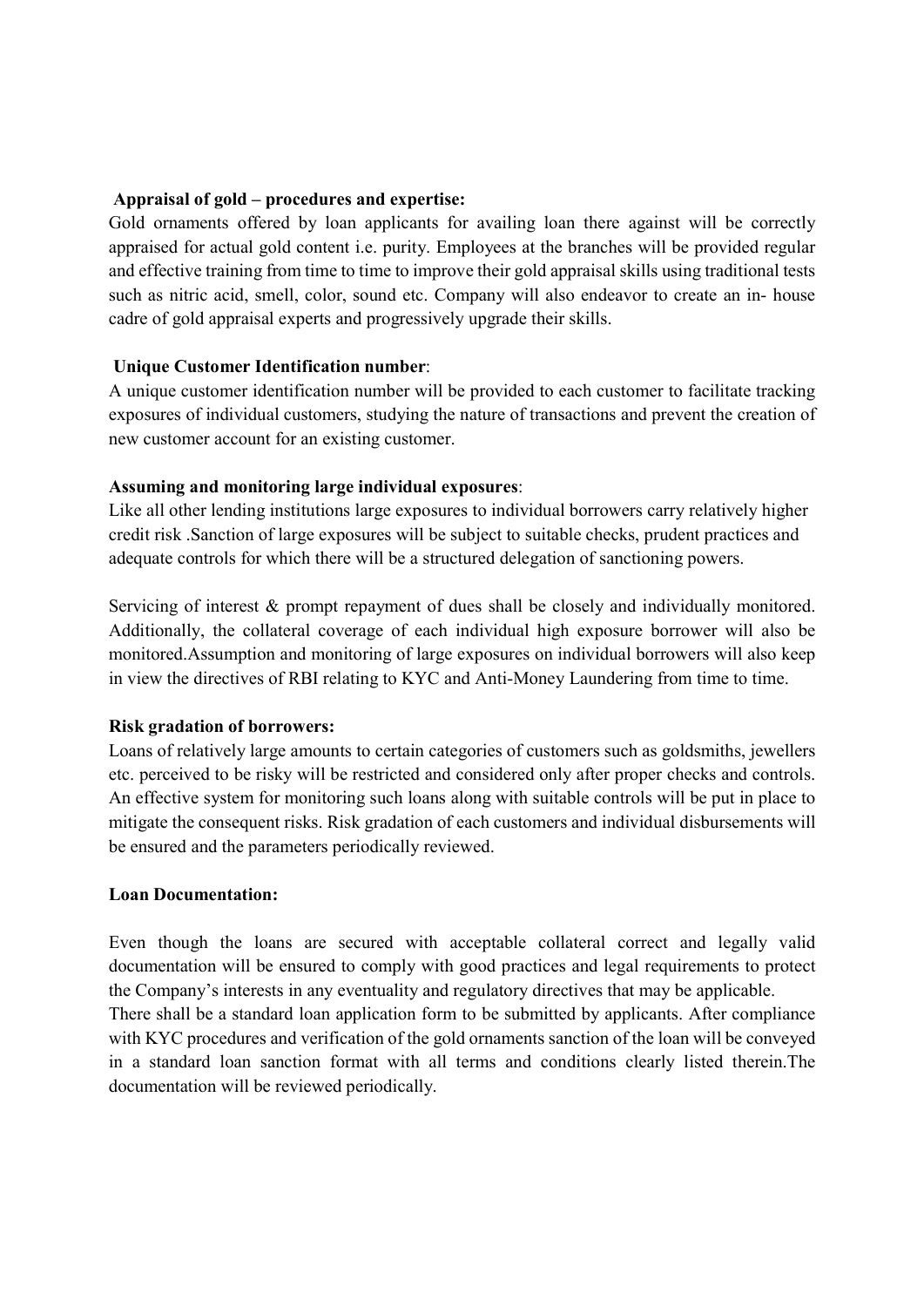## Appraisal of gold – procedures and expertise:

Gold ornaments offered by loan applicants for availing loan there against will be correctly appraised for actual gold content i.e. purity. Employees at the branches will be provided regular and effective training from time to time to improve their gold appraisal skills using traditional tests such as nitric acid, smell, color, sound etc. Company will also endeavor to create an in- house cadre of gold appraisal experts and progressively upgrade their skills.

## Unique Customer Identification number:

A unique customer identification number will be provided to each customer to facilitate tracking exposures of individual customers, studying the nature of transactions and prevent the creation of new customer account for an existing customer.

## Assuming and monitoring large individual exposures:

Like all other lending institutions large exposures to individual borrowers carry relatively higher credit risk .Sanction of large exposures will be subject to suitable checks, prudent practices and adequate controls for which there will be a structured delegation of sanctioning powers.

Servicing of interest & prompt repayment of dues shall be closely and individually monitored. Additionally, the collateral coverage of each individual high exposure borrower will also be monitored.Assumption and monitoring of large exposures on individual borrowers will also keep in view the directives of RBI relating to KYC and Anti-Money Laundering from time to time.

# Risk gradation of borrowers:

Loans of relatively large amounts to certain categories of customers such as goldsmiths, jewellers etc. perceived to be risky will be restricted and considered only after proper checks and controls. An effective system for monitoring such loans along with suitable controls will be put in place to mitigate the consequent risks. Risk gradation of each customers and individual disbursements will be ensured and the parameters periodically reviewed.

### Loan Documentation:

Even though the loans are secured with acceptable collateral correct and legally valid documentation will be ensured to comply with good practices and legal requirements to protect the Company's interests in any eventuality and regulatory directives that may be applicable. There shall be a standard loan application form to be submitted by applicants. After compliance with KYC procedures and verification of the gold ornaments sanction of the loan will be conveyed in a standard loan sanction format with all terms and conditions clearly listed therein.The documentation will be reviewed periodically.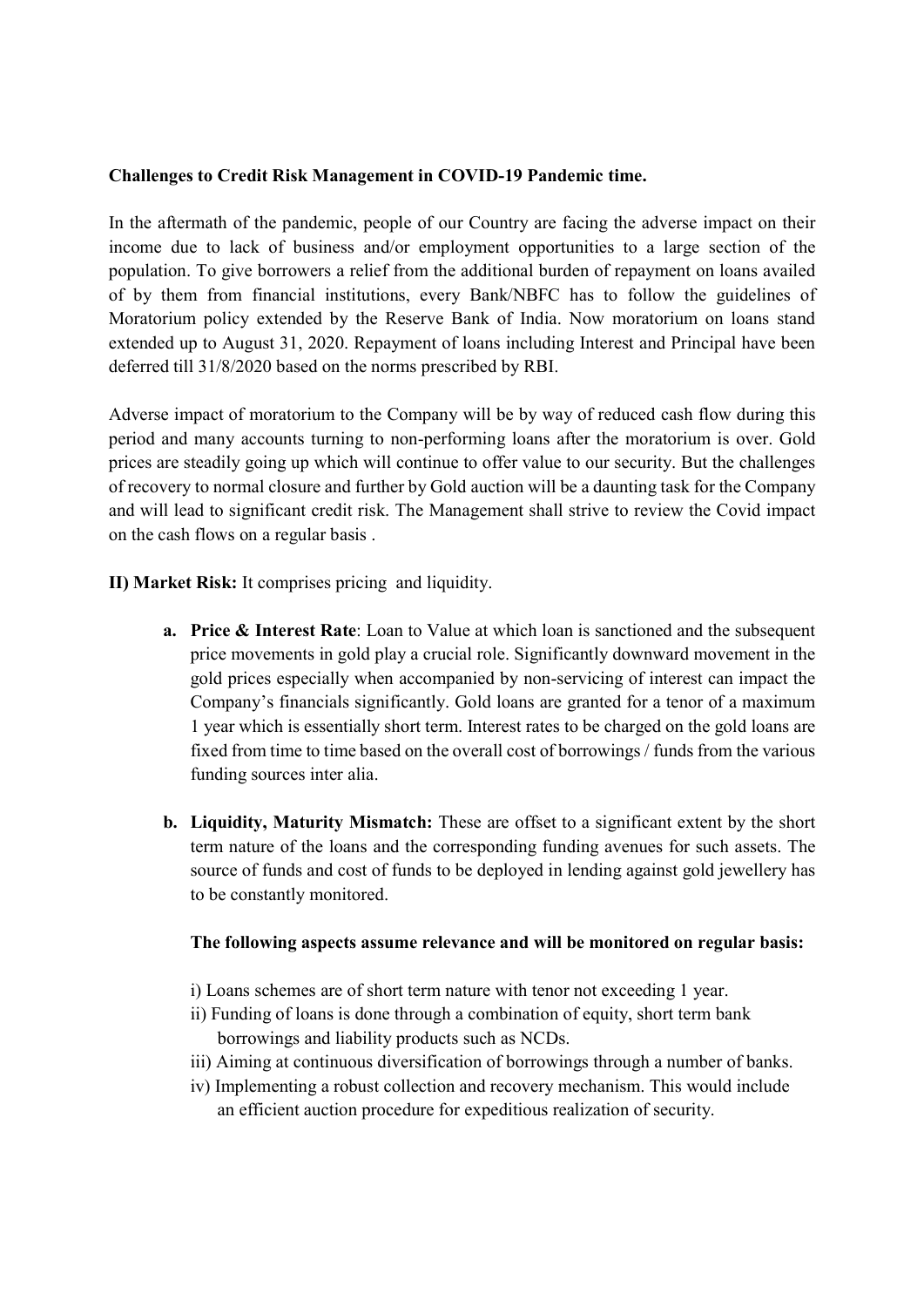### Challenges to Credit Risk Management in COVID-19 Pandemic time.

In the aftermath of the pandemic, people of our Country are facing the adverse impact on their income due to lack of business and/or employment opportunities to a large section of the population. To give borrowers a relief from the additional burden of repayment on loans availed of by them from financial institutions, every Bank/NBFC has to follow the guidelines of Moratorium policy extended by the Reserve Bank of India. Now moratorium on loans stand extended up to August 31, 2020. Repayment of loans including Interest and Principal have been deferred till 31/8/2020 based on the norms prescribed by RBI.

Adverse impact of moratorium to the Company will be by way of reduced cash flow during this period and many accounts turning to non-performing loans after the moratorium is over. Gold prices are steadily going up which will continue to offer value to our security. But the challenges of recovery to normal closure and further by Gold auction will be a daunting task for the Company and will lead to significant credit risk. The Management shall strive to review the Covid impact on the cash flows on a regular basis .

II) Market Risk: It comprises pricing and liquidity.

- a. Price & Interest Rate: Loan to Value at which loan is sanctioned and the subsequent price movements in gold play a crucial role. Significantly downward movement in the gold prices especially when accompanied by non-servicing of interest can impact the Company's financials significantly. Gold loans are granted for a tenor of a maximum 1 year which is essentially short term. Interest rates to be charged on the gold loans are fixed from time to time based on the overall cost of borrowings / funds from the various funding sources inter alia.
- b. Liquidity, Maturity Mismatch: These are offset to a significant extent by the short term nature of the loans and the corresponding funding avenues for such assets. The source of funds and cost of funds to be deployed in lending against gold jewellery has to be constantly monitored.

### The following aspects assume relevance and will be monitored on regular basis:

- i) Loans schemes are of short term nature with tenor not exceeding 1 year.
- ii) Funding of loans is done through a combination of equity, short term bank borrowings and liability products such as NCDs.
- iii) Aiming at continuous diversification of borrowings through a number of banks.
- iv) Implementing a robust collection and recovery mechanism. This would include an efficient auction procedure for expeditious realization of security.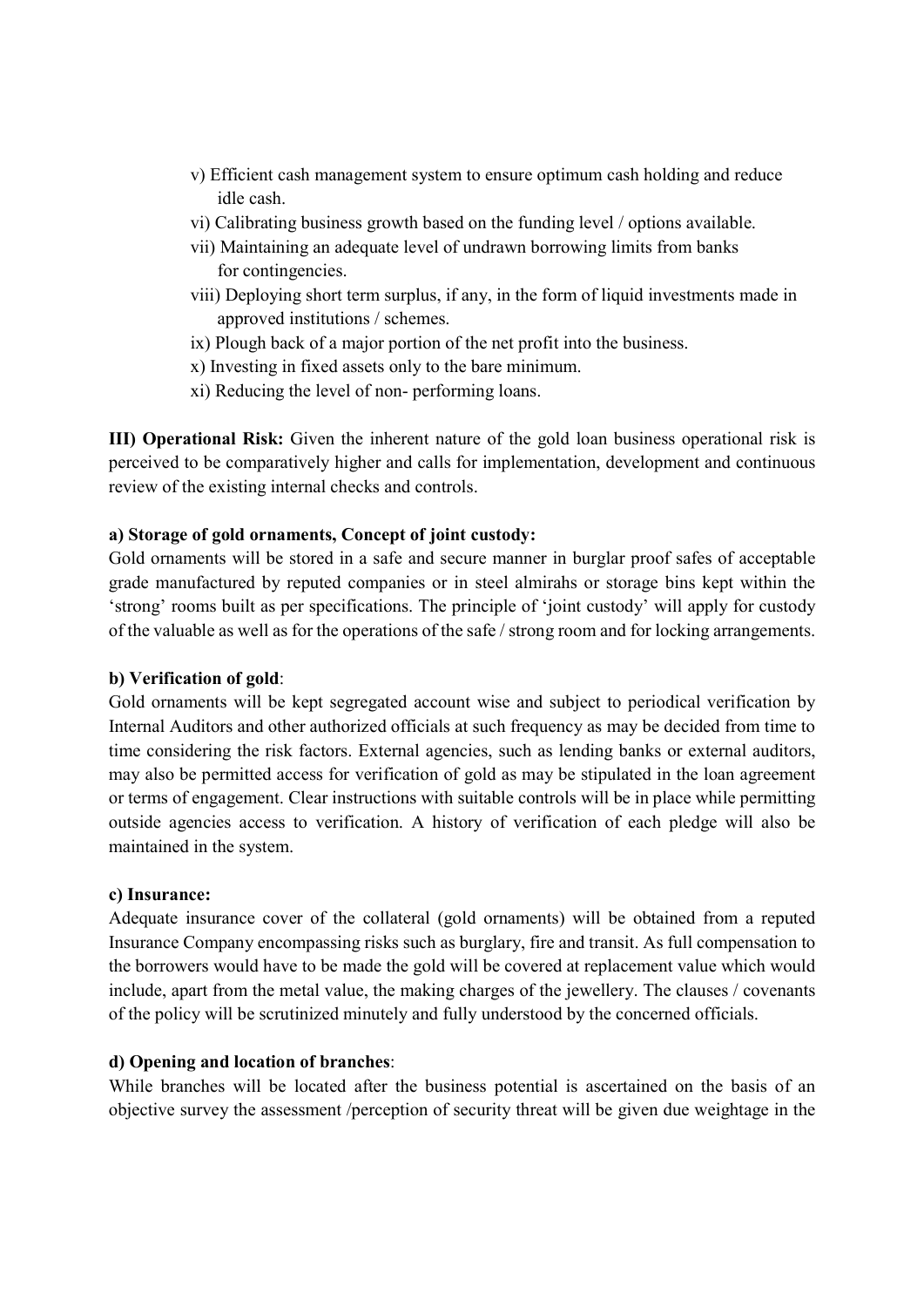- v) Efficient cash management system to ensure optimum cash holding and reduce idle cash.
- vi) Calibrating business growth based on the funding level / options available.
- vii) Maintaining an adequate level of undrawn borrowing limits from banks for contingencies.
- viii) Deploying short term surplus, if any, in the form of liquid investments made in approved institutions / schemes.
- ix) Plough back of a major portion of the net profit into the business.
- x) Investing in fixed assets only to the bare minimum.
- xi) Reducing the level of non- performing loans.

III) Operational Risk: Given the inherent nature of the gold loan business operational risk is perceived to be comparatively higher and calls for implementation, development and continuous review of the existing internal checks and controls.

## a) Storage of gold ornaments, Concept of joint custody:

Gold ornaments will be stored in a safe and secure manner in burglar proof safes of acceptable grade manufactured by reputed companies or in steel almirahs or storage bins kept within the 'strong' rooms built as per specifications. The principle of 'joint custody' will apply for custody of the valuable as well as for the operations of the safe / strong room and for locking arrangements.

### b) Verification of gold:

Gold ornaments will be kept segregated account wise and subject to periodical verification by Internal Auditors and other authorized officials at such frequency as may be decided from time to time considering the risk factors. External agencies, such as lending banks or external auditors, may also be permitted access for verification of gold as may be stipulated in the loan agreement or terms of engagement. Clear instructions with suitable controls will be in place while permitting outside agencies access to verification. A history of verification of each pledge will also be maintained in the system.

### c) Insurance:

Adequate insurance cover of the collateral (gold ornaments) will be obtained from a reputed Insurance Company encompassing risks such as burglary, fire and transit. As full compensation to the borrowers would have to be made the gold will be covered at replacement value which would include, apart from the metal value, the making charges of the jewellery. The clauses / covenants of the policy will be scrutinized minutely and fully understood by the concerned officials.

### d) Opening and location of branches:

While branches will be located after the business potential is ascertained on the basis of an objective survey the assessment /perception of security threat will be given due weightage in the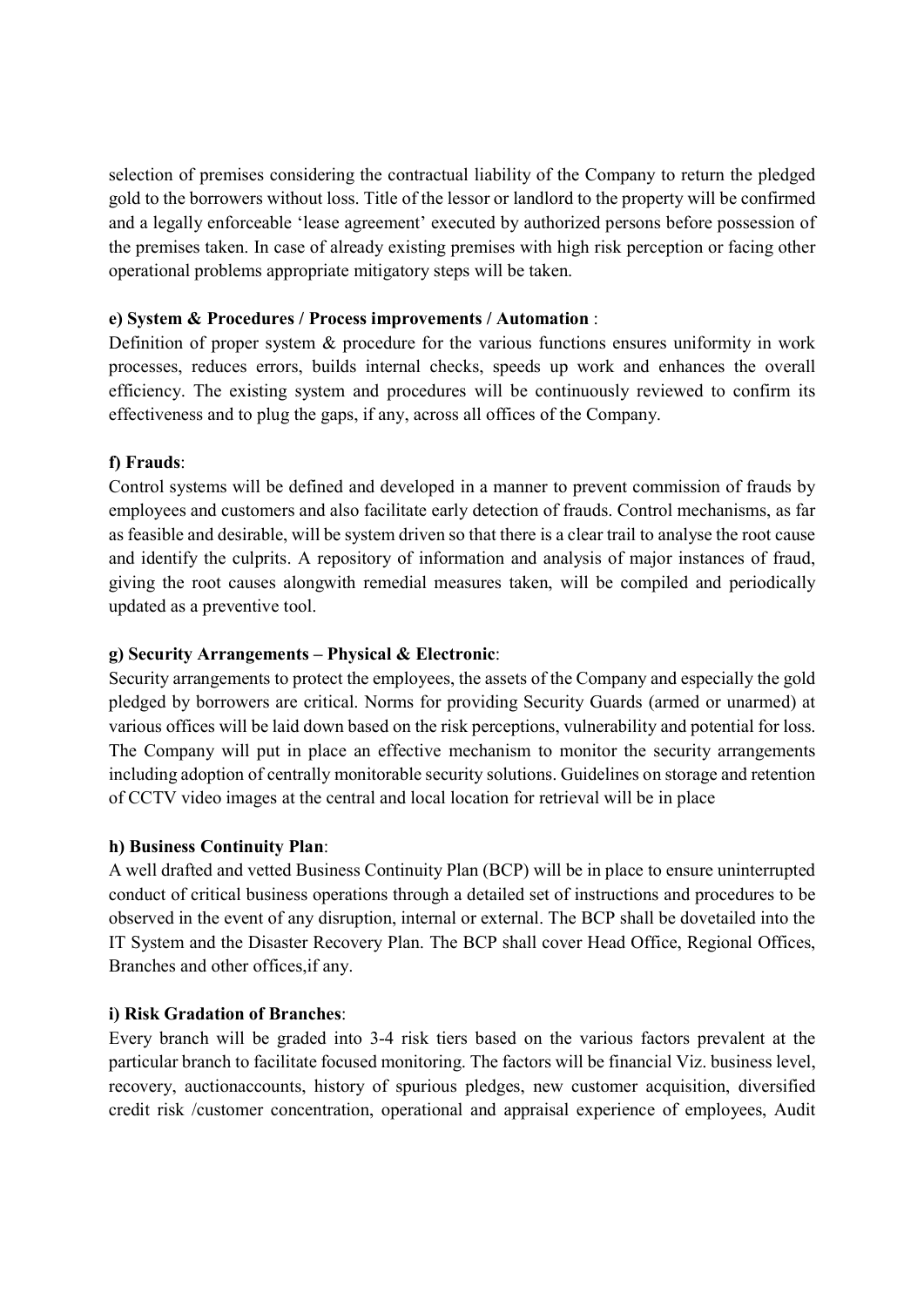selection of premises considering the contractual liability of the Company to return the pledged gold to the borrowers without loss. Title of the lessor or landlord to the property will be confirmed and a legally enforceable 'lease agreement' executed by authorized persons before possession of the premises taken. In case of already existing premises with high risk perception or facing other operational problems appropriate mitigatory steps will be taken.

## e) System & Procedures / Process improvements / Automation :

Definition of proper system & procedure for the various functions ensures uniformity in work processes, reduces errors, builds internal checks, speeds up work and enhances the overall efficiency. The existing system and procedures will be continuously reviewed to confirm its effectiveness and to plug the gaps, if any, across all offices of the Company.

# f) Frauds:

Control systems will be defined and developed in a manner to prevent commission of frauds by employees and customers and also facilitate early detection of frauds. Control mechanisms, as far as feasible and desirable, will be system driven so that there is a clear trail to analyse the root cause and identify the culprits. A repository of information and analysis of major instances of fraud, giving the root causes alongwith remedial measures taken, will be compiled and periodically updated as a preventive tool.

## g) Security Arrangements – Physical & Electronic:

Security arrangements to protect the employees, the assets of the Company and especially the gold pledged by borrowers are critical. Norms for providing Security Guards (armed or unarmed) at various offices will be laid down based on the risk perceptions, vulnerability and potential for loss. The Company will put in place an effective mechanism to monitor the security arrangements including adoption of centrally monitorable security solutions. Guidelines on storage and retention of CCTV video images at the central and local location for retrieval will be in place

### h) Business Continuity Plan:

A well drafted and vetted Business Continuity Plan (BCP) will be in place to ensure uninterrupted conduct of critical business operations through a detailed set of instructions and procedures to be observed in the event of any disruption, internal or external. The BCP shall be dovetailed into the IT System and the Disaster Recovery Plan. The BCP shall cover Head Office, Regional Offices, Branches and other offices,if any.

# i) Risk Gradation of Branches:

Every branch will be graded into 3-4 risk tiers based on the various factors prevalent at the particular branch to facilitate focused monitoring. The factors will be financial Viz. business level, recovery, auctionaccounts, history of spurious pledges, new customer acquisition, diversified credit risk /customer concentration, operational and appraisal experience of employees, Audit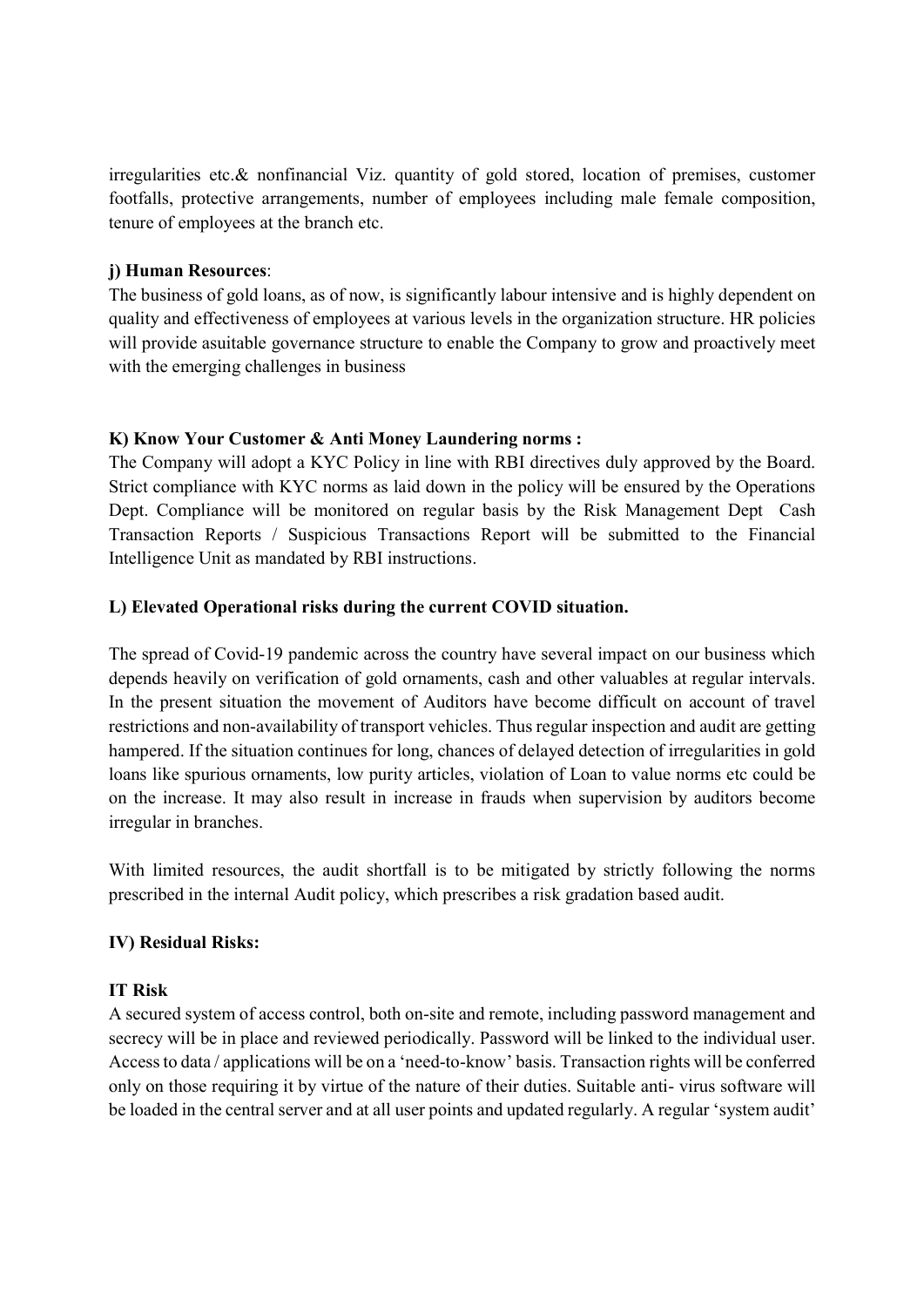irregularities etc.& nonfinancial Viz. quantity of gold stored, location of premises, customer footfalls, protective arrangements, number of employees including male female composition, tenure of employees at the branch etc.

## j) Human Resources:

The business of gold loans, as of now, is significantly labour intensive and is highly dependent on quality and effectiveness of employees at various levels in the organization structure. HR policies will provide asuitable governance structure to enable the Company to grow and proactively meet with the emerging challenges in business

## K) Know Your Customer & Anti Money Laundering norms :

The Company will adopt a KYC Policy in line with RBI directives duly approved by the Board. Strict compliance with KYC norms as laid down in the policy will be ensured by the Operations Dept. Compliance will be monitored on regular basis by the Risk Management Dept Cash Transaction Reports / Suspicious Transactions Report will be submitted to the Financial Intelligence Unit as mandated by RBI instructions.

# L) Elevated Operational risks during the current COVID situation.

The spread of Covid-19 pandemic across the country have several impact on our business which depends heavily on verification of gold ornaments, cash and other valuables at regular intervals. In the present situation the movement of Auditors have become difficult on account of travel restrictions and non-availability of transport vehicles. Thus regular inspection and audit are getting hampered. If the situation continues for long, chances of delayed detection of irregularities in gold loans like spurious ornaments, low purity articles, violation of Loan to value norms etc could be on the increase. It may also result in increase in frauds when supervision by auditors become irregular in branches.

With limited resources, the audit shortfall is to be mitigated by strictly following the norms prescribed in the internal Audit policy, which prescribes a risk gradation based audit.

# IV) Residual Risks:

### IT Risk

A secured system of access control, both on-site and remote, including password management and secrecy will be in place and reviewed periodically. Password will be linked to the individual user. Access to data / applications will be on a 'need-to-know' basis. Transaction rights will be conferred only on those requiring it by virtue of the nature of their duties. Suitable anti- virus software will be loaded in the central server and at all user points and updated regularly. A regular 'system audit'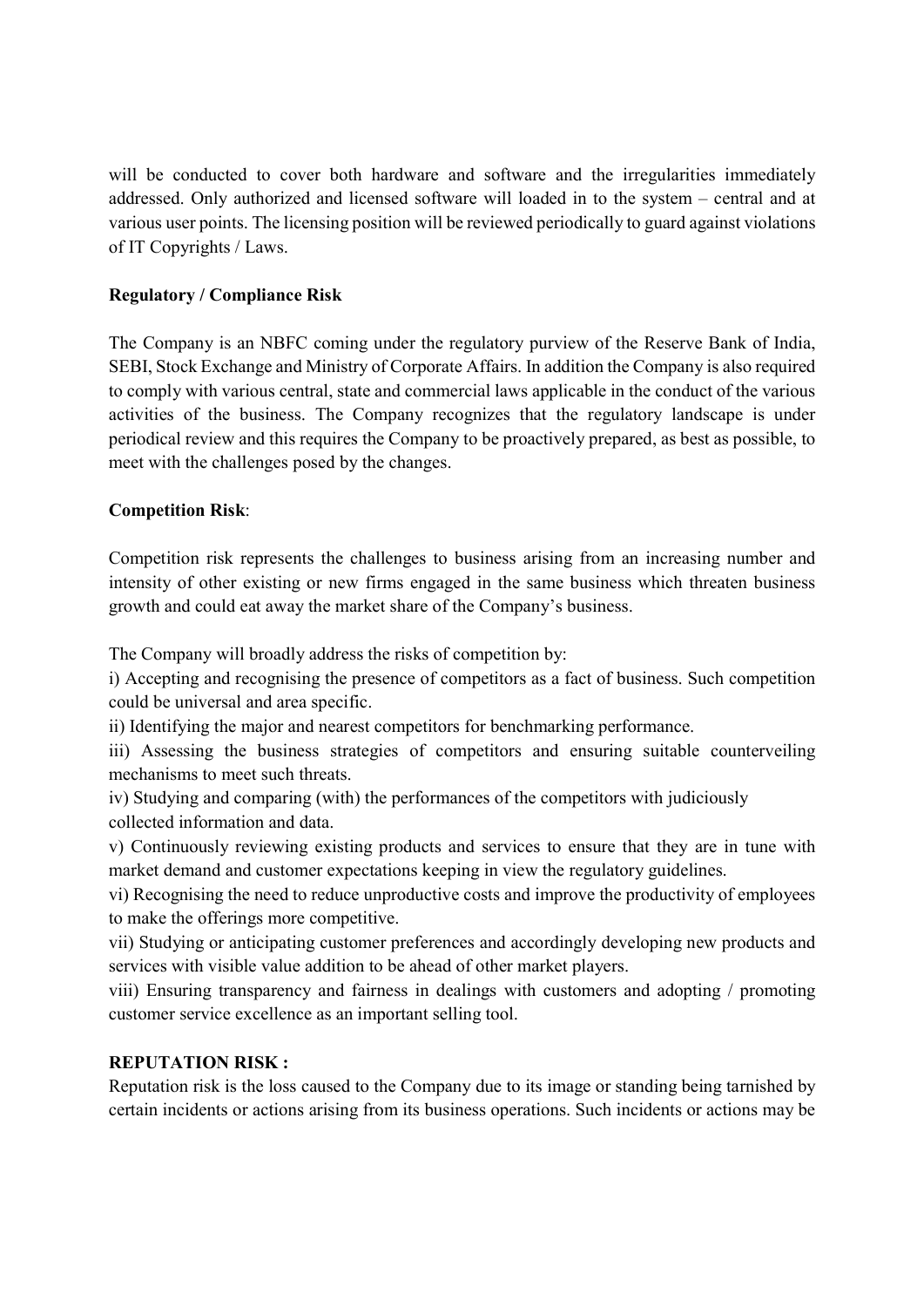will be conducted to cover both hardware and software and the irregularities immediately addressed. Only authorized and licensed software will loaded in to the system – central and at various user points. The licensing position will be reviewed periodically to guard against violations of IT Copyrights / Laws.

# Regulatory / Compliance Risk

The Company is an NBFC coming under the regulatory purview of the Reserve Bank of India, SEBI, Stock Exchange and Ministry of Corporate Affairs. In addition the Company is also required to comply with various central, state and commercial laws applicable in the conduct of the various activities of the business. The Company recognizes that the regulatory landscape is under periodical review and this requires the Company to be proactively prepared, as best as possible, to meet with the challenges posed by the changes.

# Competition Risk:

Competition risk represents the challenges to business arising from an increasing number and intensity of other existing or new firms engaged in the same business which threaten business growth and could eat away the market share of the Company's business.

The Company will broadly address the risks of competition by:

i) Accepting and recognising the presence of competitors as a fact of business. Such competition could be universal and area specific.

ii) Identifying the major and nearest competitors for benchmarking performance.

iii) Assessing the business strategies of competitors and ensuring suitable counterveiling mechanisms to meet such threats.

iv) Studying and comparing (with) the performances of the competitors with judiciously collected information and data.

v) Continuously reviewing existing products and services to ensure that they are in tune with market demand and customer expectations keeping in view the regulatory guidelines.

vi) Recognising the need to reduce unproductive costs and improve the productivity of employees to make the offerings more competitive.

vii) Studying or anticipating customer preferences and accordingly developing new products and services with visible value addition to be ahead of other market players.

viii) Ensuring transparency and fairness in dealings with customers and adopting / promoting customer service excellence as an important selling tool.

# REPUTATION RISK :

Reputation risk is the loss caused to the Company due to its image or standing being tarnished by certain incidents or actions arising from its business operations. Such incidents or actions may be